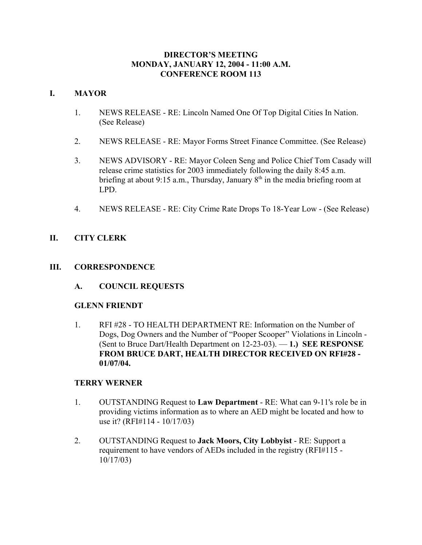## **DIRECTOR'S MEETING MONDAY, JANUARY 12, 2004 - 11:00 A.M. CONFERENCE ROOM 113**

# **I. MAYOR**

- 1. NEWS RELEASE RE: Lincoln Named One Of Top Digital Cities In Nation. (See Release)
- 2. NEWS RELEASE RE: Mayor Forms Street Finance Committee. (See Release)
- 3. NEWS ADVISORY RE: Mayor Coleen Seng and Police Chief Tom Casady will release crime statistics for 2003 immediately following the daily 8:45 a.m. briefing at about 9:15 a.m., Thursday, January  $8<sup>th</sup>$  in the media briefing room at LPD.
- 4. NEWS RELEASE RE: City Crime Rate Drops To 18-Year Low (See Release)

# **II. CITY CLERK**

# **III. CORRESPONDENCE**

**A. COUNCIL REQUESTS**

## **GLENN FRIENDT**

1. RFI #28 - TO HEALTH DEPARTMENT RE: Information on the Number of Dogs, Dog Owners and the Number of "Pooper Scooper" Violations in Lincoln - (Sent to Bruce Dart/Health Department on 12-23-03). — **1.) SEE RESPONSE FROM BRUCE DART, HEALTH DIRECTOR RECEIVED ON RFI#28 - 01/07/04.**

# **TERRY WERNER**

- 1. OUTSTANDING Request to **Law Department** RE: What can 9-11's role be in providing victims information as to where an AED might be located and how to use it? (RFI#114 - 10/17/03)
- 2. OUTSTANDING Request to **Jack Moors, City Lobbyist** RE: Support a requirement to have vendors of AEDs included in the registry (RFI#115 - 10/17/03)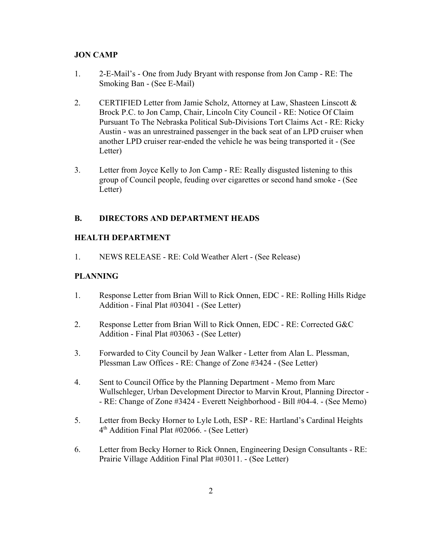## **JON CAMP**

- 1. 2-E-Mail's One from Judy Bryant with response from Jon Camp RE: The Smoking Ban - (See E-Mail)
- 2. CERTIFIED Letter from Jamie Scholz, Attorney at Law, Shasteen Linscott  $\&$ Brock P.C. to Jon Camp, Chair, Lincoln City Council - RE: Notice Of Claim Pursuant To The Nebraska Political Sub-Divisions Tort Claims Act - RE: Ricky Austin - was an unrestrained passenger in the back seat of an LPD cruiser when another LPD cruiser rear-ended the vehicle he was being transported it - (See Letter)
- 3. Letter from Joyce Kelly to Jon Camp RE: Really disgusted listening to this group of Council people, feuding over cigarettes or second hand smoke - (See Letter)

# **B. DIRECTORS AND DEPARTMENT HEADS**

## **HEALTH DEPARTMENT**

1. NEWS RELEASE - RE: Cold Weather Alert - (See Release)

## **PLANNING**

- 1. Response Letter from Brian Will to Rick Onnen, EDC RE: Rolling Hills Ridge Addition - Final Plat #03041 - (See Letter)
- 2. Response Letter from Brian Will to Rick Onnen, EDC RE: Corrected G&C Addition - Final Plat #03063 - (See Letter)
- 3. Forwarded to City Council by Jean Walker Letter from Alan L. Plessman, Plessman Law Offices - RE: Change of Zone #3424 - (See Letter)
- 4. Sent to Council Office by the Planning Department Memo from Marc Wullschleger, Urban Development Director to Marvin Krout, Planning Director - - RE: Change of Zone #3424 - Everett Neighborhood - Bill #04-4. - (See Memo)
- 5. Letter from Becky Horner to Lyle Loth, ESP RE: Hartland's Cardinal Heights 4th Addition Final Plat #02066. - (See Letter)
- 6. Letter from Becky Horner to Rick Onnen, Engineering Design Consultants RE: Prairie Village Addition Final Plat #03011. - (See Letter)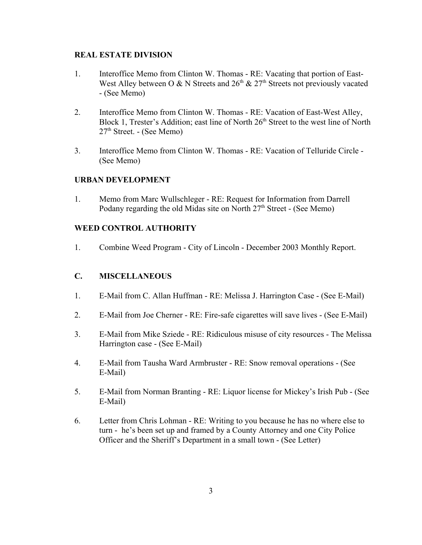## **REAL ESTATE DIVISION**

- 1. Interoffice Memo from Clinton W. Thomas RE: Vacating that portion of East-West Alley between O & N Streets and  $26<sup>th</sup>$  &  $27<sup>th</sup>$  Streets not previously vacated - (See Memo)
- 2. Interoffice Memo from Clinton W. Thomas RE: Vacation of East-West Alley, Block 1, Trester's Addition; east line of North  $26<sup>th</sup>$  Street to the west line of North  $27<sup>th</sup>$  Street. - (See Memo)
- 3. Interoffice Memo from Clinton W. Thomas RE: Vacation of Telluride Circle (See Memo)

## **URBAN DEVELOPMENT**

1. Memo from Marc Wullschleger - RE: Request for Information from Darrell Podany regarding the old Midas site on North  $27<sup>th</sup>$  Street - (See Memo)

## **WEED CONTROL AUTHORITY**

1. Combine Weed Program - City of Lincoln - December 2003 Monthly Report.

## **C. MISCELLANEOUS**

- 1. E-Mail from C. Allan Huffman RE: Melissa J. Harrington Case (See E-Mail)
- 2. E-Mail from Joe Cherner RE: Fire-safe cigarettes will save lives (See E-Mail)
- 3. E-Mail from Mike Sziede RE: Ridiculous misuse of city resources The Melissa Harrington case - (See E-Mail)
- 4. E-Mail from Tausha Ward Armbruster RE: Snow removal operations (See E-Mail)
- 5. E-Mail from Norman Branting RE: Liquor license for Mickey's Irish Pub (See E-Mail)
- 6. Letter from Chris Lohman RE: Writing to you because he has no where else to turn - he's been set up and framed by a County Attorney and one City Police Officer and the Sheriff's Department in a small town - (See Letter)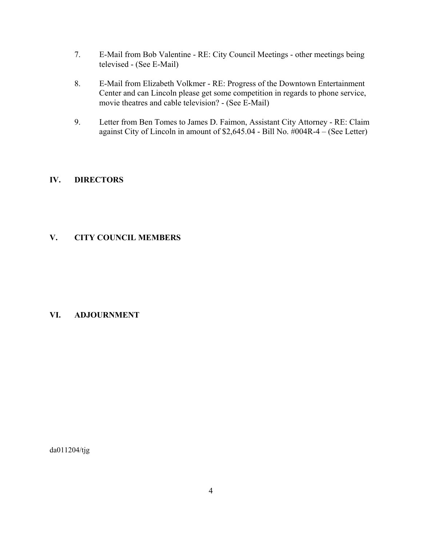- 7. E-Mail from Bob Valentine RE: City Council Meetings other meetings being televised - (See E-Mail)
- 8. E-Mail from Elizabeth Volkmer RE: Progress of the Downtown Entertainment Center and can Lincoln please get some competition in regards to phone service, movie theatres and cable television? - (See E-Mail)
- 9. Letter from Ben Tomes to James D. Faimon, Assistant City Attorney RE: Claim against City of Lincoln in amount of \$2,645.04 - Bill No. #004R-4 – (See Letter)

# **IV. DIRECTORS**

## **V. CITY COUNCIL MEMBERS**

## **VI. ADJOURNMENT**

da011204/tjg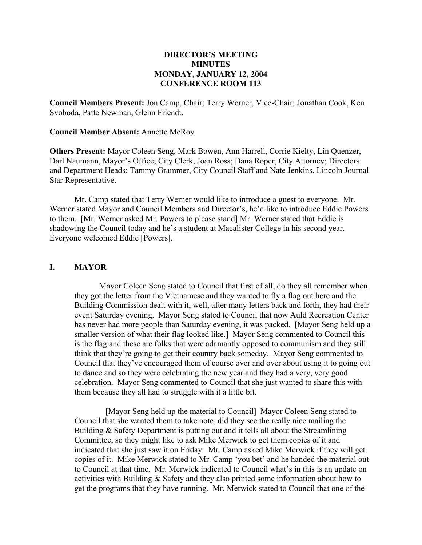## **DIRECTOR'S MEETING MINUTES MONDAY, JANUARY 12, 2004 CONFERENCE ROOM 113**

**Council Members Present:** Jon Camp, Chair; Terry Werner, Vice-Chair; Jonathan Cook, Ken Svoboda, Patte Newman, Glenn Friendt.

#### **Council Member Absent:** Annette McRoy

**Others Present:** Mayor Coleen Seng, Mark Bowen, Ann Harrell, Corrie Kielty, Lin Quenzer, Darl Naumann, Mayor's Office; City Clerk, Joan Ross; Dana Roper, City Attorney; Directors and Department Heads; Tammy Grammer, City Council Staff and Nate Jenkins, Lincoln Journal Star Representative.

Mr. Camp stated that Terry Werner would like to introduce a guest to everyone. Mr. Werner stated Mayor and Council Members and Director's, he'd like to introduce Eddie Powers to them. [Mr. Werner asked Mr. Powers to please stand] Mr. Werner stated that Eddie is shadowing the Council today and he's a student at Macalister College in his second year. Everyone welcomed Eddie [Powers].

#### **I. MAYOR**

Mayor Coleen Seng stated to Council that first of all, do they all remember when they got the letter from the Vietnamese and they wanted to fly a flag out here and the Building Commission dealt with it, well, after many letters back and forth, they had their event Saturday evening. Mayor Seng stated to Council that now Auld Recreation Center has never had more people than Saturday evening, it was packed. [Mayor Seng held up a smaller version of what their flag looked like.] Mayor Seng commented to Council this is the flag and these are folks that were adamantly opposed to communism and they still think that they're going to get their country back someday. Mayor Seng commented to Council that they've encouraged them of course over and over about using it to going out to dance and so they were celebrating the new year and they had a very, very good celebration. Mayor Seng commented to Council that she just wanted to share this with them because they all had to struggle with it a little bit.

 [Mayor Seng held up the material to Council] Mayor Coleen Seng stated to Council that she wanted them to take note, did they see the really nice mailing the Building & Safety Department is putting out and it tells all about the Streamlining Committee, so they might like to ask Mike Merwick to get them copies of it and indicated that she just saw it on Friday. Mr. Camp asked Mike Merwick if they will get copies of it. Mike Merwick stated to Mr. Camp 'you bet' and he handed the material out to Council at that time. Mr. Merwick indicated to Council what's in this is an update on activities with Building & Safety and they also printed some information about how to get the programs that they have running. Mr. Merwick stated to Council that one of the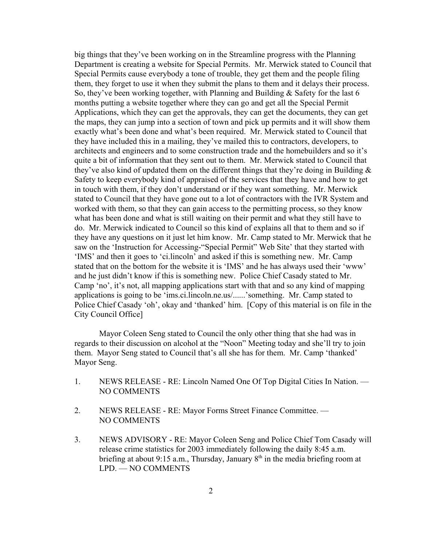big things that they've been working on in the Streamline progress with the Planning Department is creating a website for Special Permits. Mr. Merwick stated to Council that Special Permits cause everybody a tone of trouble, they get them and the people filing them, they forget to use it when they submit the plans to them and it delays their process. So, they've been working together, with Planning and Building & Safety for the last 6 months putting a website together where they can go and get all the Special Permit Applications, which they can get the approvals, they can get the documents, they can get the maps, they can jump into a section of town and pick up permits and it will show them exactly what's been done and what's been required. Mr. Merwick stated to Council that they have included this in a mailing, they've mailed this to contractors, developers, to architects and engineers and to some construction trade and the homebuilders and so it's quite a bit of information that they sent out to them. Mr. Merwick stated to Council that they've also kind of updated them on the different things that they're doing in Building & Safety to keep everybody kind of appraised of the services that they have and how to get in touch with them, if they don't understand or if they want something. Mr. Merwick stated to Council that they have gone out to a lot of contractors with the IVR System and worked with them, so that they can gain access to the permitting process, so they know what has been done and what is still waiting on their permit and what they still have to do. Mr. Merwick indicated to Council so this kind of explains all that to them and so if they have any questions on it just let him know. Mr. Camp stated to Mr. Merwick that he saw on the 'Instruction for Accessing-"Special Permit" Web Site' that they started with 'IMS' and then it goes to 'ci.lincoln' and asked if this is something new. Mr. Camp stated that on the bottom for the website it is 'IMS' and he has always used their 'www' and he just didn't know if this is something new. Police Chief Casady stated to Mr. Camp 'no', it's not, all mapping applications start with that and so any kind of mapping applications is going to be 'ims.ci.lincoln.ne.us/......'something. Mr. Camp stated to Police Chief Casady 'oh', okay and 'thanked' him. [Copy of this material is on file in the City Council Office]

Mayor Coleen Seng stated to Council the only other thing that she had was in regards to their discussion on alcohol at the "Noon" Meeting today and she'll try to join them. Mayor Seng stated to Council that's all she has for them. Mr. Camp 'thanked' Mayor Seng.

- 1. NEWS RELEASE RE: Lincoln Named One Of Top Digital Cities In Nation. NO COMMENTS
- 2. NEWS RELEASE RE: Mayor Forms Street Finance Committee. NO COMMENTS
- 3. NEWS ADVISORY RE: Mayor Coleen Seng and Police Chief Tom Casady will release crime statistics for 2003 immediately following the daily 8:45 a.m. briefing at about 9:15 a.m., Thursday, January  $8<sup>th</sup>$  in the media briefing room at LPD. — NO COMMENTS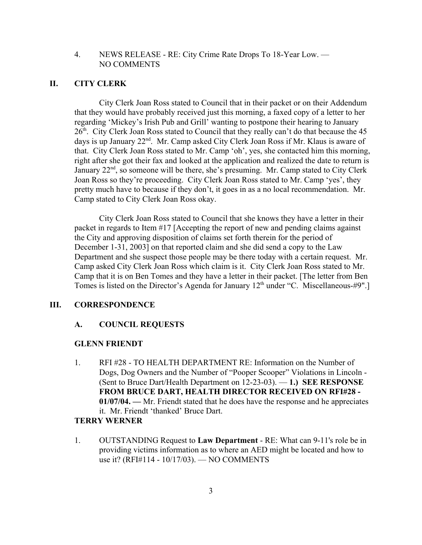## 4. NEWS RELEASE - RE: City Crime Rate Drops To 18-Year Low. — NO COMMENTS

## **II. CITY CLERK**

City Clerk Joan Ross stated to Council that in their packet or on their Addendum that they would have probably received just this morning, a faxed copy of a letter to her regarding 'Mickey's Irish Pub and Grill' wanting to postpone their hearing to January  $26<sup>th</sup>$ . City Clerk Joan Ross stated to Council that they really can't do that because the 45 days is up January 22<sup>nd</sup>. Mr. Camp asked City Clerk Joan Ross if Mr. Klaus is aware of that. City Clerk Joan Ross stated to Mr. Camp 'oh', yes, she contacted him this morning, right after she got their fax and looked at the application and realized the date to return is January  $22<sup>nd</sup>$ , so someone will be there, she's presuming. Mr. Camp stated to City Clerk Joan Ross so they're proceeding. City Clerk Joan Ross stated to Mr. Camp 'yes', they pretty much have to because if they don't, it goes in as a no local recommendation. Mr. Camp stated to City Clerk Joan Ross okay.

City Clerk Joan Ross stated to Council that she knows they have a letter in their packet in regards to Item #17 [Accepting the report of new and pending claims against the City and approving disposition of claims set forth therein for the period of December 1-31, 2003] on that reported claim and she did send a copy to the Law Department and she suspect those people may be there today with a certain request. Mr. Camp asked City Clerk Joan Ross which claim is it. City Clerk Joan Ross stated to Mr. Camp that it is on Ben Tomes and they have a letter in their packet. [The letter from Ben Tomes is listed on the Director's Agenda for January  $12<sup>th</sup>$  under "C. Miscellaneous-#9".]

## **III. CORRESPONDENCE**

#### **A. COUNCIL REQUESTS**

#### **GLENN FRIENDT**

1. RFI #28 - TO HEALTH DEPARTMENT RE: Information on the Number of Dogs, Dog Owners and the Number of "Pooper Scooper" Violations in Lincoln - (Sent to Bruce Dart/Health Department on 12-23-03). — **1.) SEE RESPONSE FROM BRUCE DART, HEALTH DIRECTOR RECEIVED ON RFI#28 - 01/07/04. —** Mr. Friendt stated that he does have the response and he appreciates it. Mr. Friendt 'thanked' Bruce Dart.

#### **TERRY WERNER**

1. OUTSTANDING Request to **Law Department** - RE: What can 9-11's role be in providing victims information as to where an AED might be located and how to use it? (RFI#114 - 10/17/03). — NO COMMENTS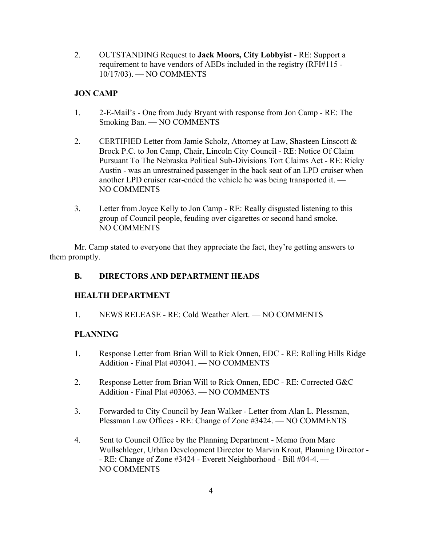2. OUTSTANDING Request to **Jack Moors, City Lobbyist** - RE: Support a requirement to have vendors of AEDs included in the registry (RFI#115 - 10/17/03). — NO COMMENTS

# **JON CAMP**

- 1. 2-E-Mail's One from Judy Bryant with response from Jon Camp RE: The Smoking Ban. — NO COMMENTS
- 2. CERTIFIED Letter from Jamie Scholz, Attorney at Law, Shasteen Linscott & Brock P.C. to Jon Camp, Chair, Lincoln City Council - RE: Notice Of Claim Pursuant To The Nebraska Political Sub-Divisions Tort Claims Act - RE: Ricky Austin - was an unrestrained passenger in the back seat of an LPD cruiser when another LPD cruiser rear-ended the vehicle he was being transported it. — NO COMMENTS
- 3. Letter from Joyce Kelly to Jon Camp RE: Really disgusted listening to this group of Council people, feuding over cigarettes or second hand smoke. — NO COMMENTS

Mr. Camp stated to everyone that they appreciate the fact, they're getting answers to them promptly.

# **B. DIRECTORS AND DEPARTMENT HEADS**

# **HEALTH DEPARTMENT**

1. NEWS RELEASE - RE: Cold Weather Alert. — NO COMMENTS

# **PLANNING**

- 1. Response Letter from Brian Will to Rick Onnen, EDC RE: Rolling Hills Ridge Addition - Final Plat #03041. — NO COMMENTS
- 2. Response Letter from Brian Will to Rick Onnen, EDC RE: Corrected G&C Addition - Final Plat #03063. — NO COMMENTS
- 3. Forwarded to City Council by Jean Walker Letter from Alan L. Plessman, Plessman Law Offices - RE: Change of Zone #3424. — NO COMMENTS
- 4. Sent to Council Office by the Planning Department Memo from Marc Wullschleger, Urban Development Director to Marvin Krout, Planning Director - - RE: Change of Zone #3424 - Everett Neighborhood - Bill #04-4. — NO COMMENTS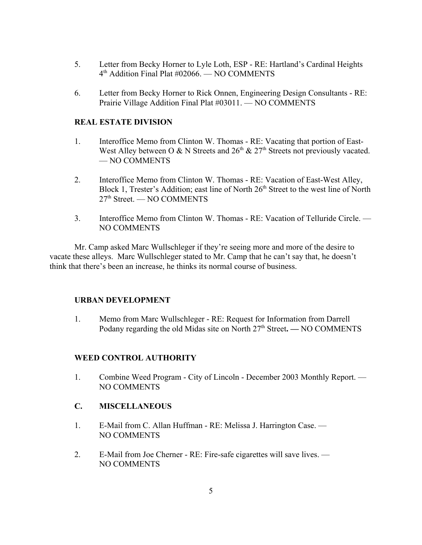- 5. Letter from Becky Horner to Lyle Loth, ESP RE: Hartland's Cardinal Heights 4th Addition Final Plat #02066. — NO COMMENTS
- 6. Letter from Becky Horner to Rick Onnen, Engineering Design Consultants RE: Prairie Village Addition Final Plat #03011. — NO COMMENTS

## **REAL ESTATE DIVISION**

- 1. Interoffice Memo from Clinton W. Thomas RE: Vacating that portion of East-West Alley between O & N Streets and  $26<sup>th</sup>$  &  $27<sup>th</sup>$  Streets not previously vacated. — NO COMMENTS
- 2. Interoffice Memo from Clinton W. Thomas RE: Vacation of East-West Alley, Block 1, Trester's Addition; east line of North 26<sup>th</sup> Street to the west line of North 27th Street. — NO COMMENTS
- 3. Interoffice Memo from Clinton W. Thomas RE: Vacation of Telluride Circle. NO COMMENTS

Mr. Camp asked Marc Wullschleger if they're seeing more and more of the desire to vacate these alleys. Marc Wullschleger stated to Mr. Camp that he can't say that, he doesn't think that there's been an increase, he thinks its normal course of business.

## **URBAN DEVELOPMENT**

1. Memo from Marc Wullschleger - RE: Request for Information from Darrell Podany regarding the old Midas site on North 27<sup>th</sup> Street. — NO COMMENTS

## **WEED CONTROL AUTHORITY**

1. Combine Weed Program - City of Lincoln - December 2003 Monthly Report. — NO COMMENTS

## **C. MISCELLANEOUS**

- 1. E-Mail from C. Allan Huffman RE: Melissa J. Harrington Case. NO COMMENTS
- 2. E-Mail from Joe Cherner RE: Fire-safe cigarettes will save lives. NO COMMENTS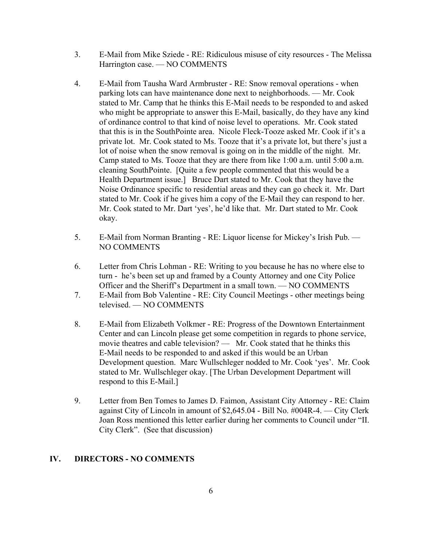- 3. E-Mail from Mike Sziede RE: Ridiculous misuse of city resources The Melissa Harrington case. — NO COMMENTS
- 4. E-Mail from Tausha Ward Armbruster RE: Snow removal operations when parking lots can have maintenance done next to neighborhoods. — Mr. Cook stated to Mr. Camp that he thinks this E-Mail needs to be responded to and asked who might be appropriate to answer this E-Mail, basically, do they have any kind of ordinance control to that kind of noise level to operations. Mr. Cook stated that this is in the SouthPointe area. Nicole Fleck-Tooze asked Mr. Cook if it's a private lot. Mr. Cook stated to Ms. Tooze that it's a private lot, but there's just a lot of noise when the snow removal is going on in the middle of the night. Mr. Camp stated to Ms. Tooze that they are there from like 1:00 a.m. until 5:00 a.m. cleaning SouthPointe. [Quite a few people commented that this would be a Health Department issue.] Bruce Dart stated to Mr. Cook that they have the Noise Ordinance specific to residential areas and they can go check it. Mr. Dart stated to Mr. Cook if he gives him a copy of the E-Mail they can respond to her. Mr. Cook stated to Mr. Dart 'yes', he'd like that. Mr. Dart stated to Mr. Cook okay.
- 5. E-Mail from Norman Branting RE: Liquor license for Mickey's Irish Pub. NO COMMENTS
- 6. Letter from Chris Lohman RE: Writing to you because he has no where else to turn - he's been set up and framed by a County Attorney and one City Police Officer and the Sheriff's Department in a small town. — NO COMMENTS
- 7. E-Mail from Bob Valentine RE: City Council Meetings other meetings being televised. — NO COMMENTS
- 8. E-Mail from Elizabeth Volkmer RE: Progress of the Downtown Entertainment Center and can Lincoln please get some competition in regards to phone service, movie theatres and cable television? — Mr. Cook stated that he thinks this E-Mail needs to be responded to and asked if this would be an Urban Development question. Marc Wullschleger nodded to Mr. Cook 'yes'. Mr. Cook stated to Mr. Wullschleger okay. [The Urban Development Department will respond to this E-Mail.]
- 9. Letter from Ben Tomes to James D. Faimon, Assistant City Attorney RE: Claim against City of Lincoln in amount of \$2,645.04 - Bill No. #004R-4. — City Clerk Joan Ross mentioned this letter earlier during her comments to Council under "II. City Clerk". (See that discussion)

## **IV. DIRECTORS - NO COMMENTS**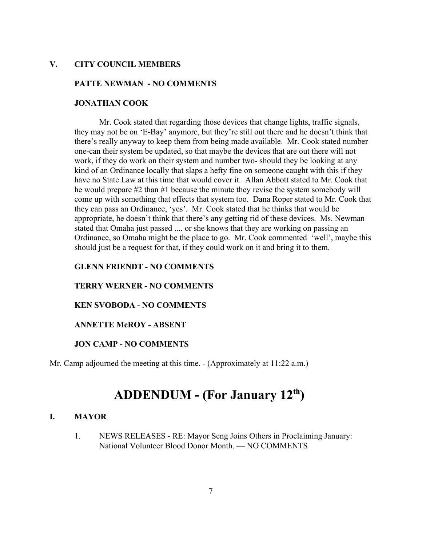## **V. CITY COUNCIL MEMBERS**

#### **PATTE NEWMAN - NO COMMENTS**

#### **JONATHAN COOK**

Mr. Cook stated that regarding those devices that change lights, traffic signals, they may not be on 'E-Bay' anymore, but they're still out there and he doesn't think that there's really anyway to keep them from being made available. Mr. Cook stated number one-can their system be updated, so that maybe the devices that are out there will not work, if they do work on their system and number two- should they be looking at any kind of an Ordinance locally that slaps a hefty fine on someone caught with this if they have no State Law at this time that would cover it. Allan Abbott stated to Mr. Cook that he would prepare #2 than #1 because the minute they revise the system somebody will come up with something that effects that system too. Dana Roper stated to Mr. Cook that they can pass an Ordinance, 'yes'. Mr. Cook stated that he thinks that would be appropriate, he doesn't think that there's any getting rid of these devices. Ms. Newman stated that Omaha just passed .... or she knows that they are working on passing an Ordinance, so Omaha might be the place to go. Mr. Cook commented 'well', maybe this should just be a request for that, if they could work on it and bring it to them.

## **GLENN FRIENDT - NO COMMENTS**

#### **TERRY WERNER - NO COMMENTS**

#### **KEN SVOBODA - NO COMMENTS**

#### **ANNETTE McROY - ABSENT**

## **JON CAMP - NO COMMENTS**

Mr. Camp adjourned the meeting at this time. - (Approximately at 11:22 a.m.)

# **ADDENDUM - (For January 12th)**

#### **I. MAYOR**

1. NEWS RELEASES - RE: Mayor Seng Joins Others in Proclaiming January: National Volunteer Blood Donor Month. — NO COMMENTS